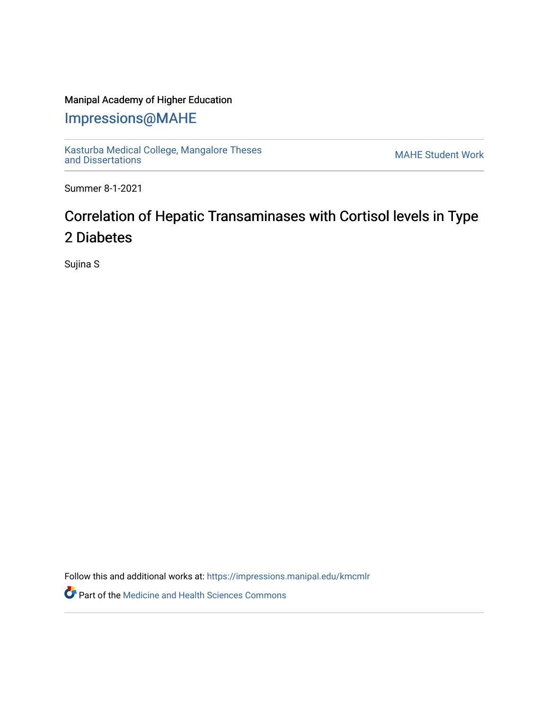## Manipal Academy of Higher Education

## [Impressions@MAHE](https://impressions.manipal.edu/)

[Kasturba Medical College, Mangalore Theses](https://impressions.manipal.edu/kmcmlr) Kasturba Medical College, Mangalore Theses<br>[and Dissertations](https://impressions.manipal.edu/kmcmlr) MAHE Student Work

Summer 8-1-2021

# Correlation of Hepatic Transaminases with Cortisol levels in Type 2 Diabetes

Sujina S

Follow this and additional works at: [https://impressions.manipal.edu/kmcmlr](https://impressions.manipal.edu/kmcmlr?utm_source=impressions.manipal.edu%2Fkmcmlr%2F236&utm_medium=PDF&utm_campaign=PDFCoverPages) 

**Part of the Medicine and Health Sciences Commons**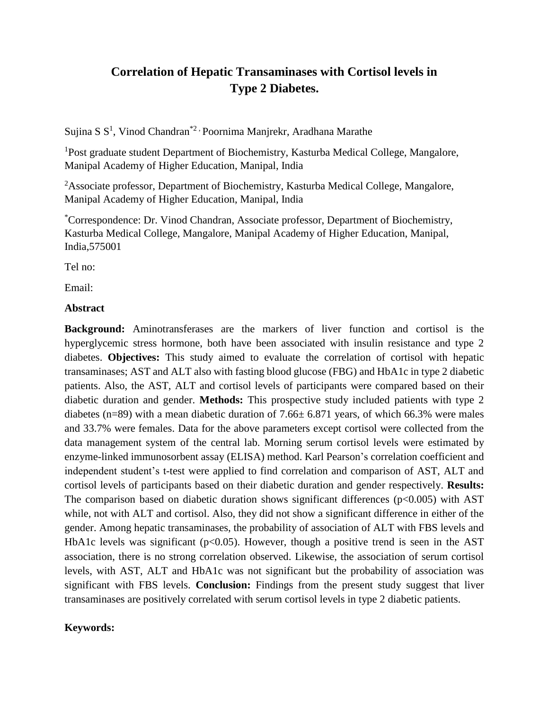## **Correlation of Hepatic Transaminases with Cortisol levels in Type 2 Diabetes.**

Sujina S S<sup>1</sup>, Vinod Chandran<sup>\*2,</sup> Poornima Manjrekr, Aradhana Marathe

<sup>1</sup>Post graduate student Department of Biochemistry, Kasturba Medical College, Mangalore, Manipal Academy of Higher Education, Manipal, India

<sup>2</sup>Associate professor, Department of Biochemistry, Kasturba Medical College, Mangalore, Manipal Academy of Higher Education, Manipal, India

\*Correspondence: Dr. Vinod Chandran, Associate professor, Department of Biochemistry, Kasturba Medical College, Mangalore, Manipal Academy of Higher Education, Manipal, India,575001

Tel no:

Email:

### **Abstract**

**Background:** Aminotransferases are the markers of liver function and cortisol is the hyperglycemic stress hormone, both have been associated with insulin resistance and type 2 diabetes. **Objectives:** This study aimed to evaluate the correlation of cortisol with hepatic transaminases; AST and ALT also with fasting blood glucose (FBG) and HbA1c in type 2 diabetic patients. Also, the AST, ALT and cortisol levels of participants were compared based on their diabetic duration and gender. **Methods:** This prospective study included patients with type 2 diabetes (n=89) with a mean diabetic duration of  $7.66 \pm 6.871$  years, of which 66.3% were males and 33.7% were females. Data for the above parameters except cortisol were collected from the data management system of the central lab. Morning serum cortisol levels were estimated by enzyme-linked immunosorbent assay (ELISA) method. Karl Pearson's correlation coefficient and independent student's t-test were applied to find correlation and comparison of AST, ALT and cortisol levels of participants based on their diabetic duration and gender respectively. **Results:**  The comparison based on diabetic duration shows significant differences ( $p<0.005$ ) with AST while, not with ALT and cortisol. Also, they did not show a significant difference in either of the gender. Among hepatic transaminases, the probability of association of ALT with FBS levels and HbA1c levels was significant ( $p<0.05$ ). However, though a positive trend is seen in the AST association, there is no strong correlation observed. Likewise, the association of serum cortisol levels, with AST, ALT and HbA1c was not significant but the probability of association was significant with FBS levels. **Conclusion:** Findings from the present study suggest that liver transaminases are positively correlated with serum cortisol levels in type 2 diabetic patients.

### **Keywords:**